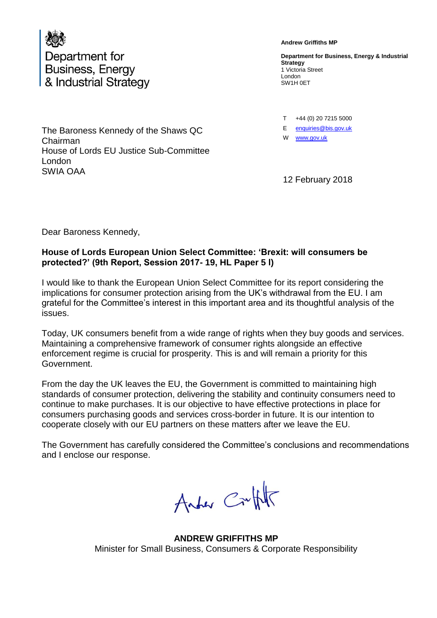

The Baroness Kennedy of the Shaws QC Chairman House of Lords EU Justice Sub-Committee London SWIA OAA

**Andrew Griffiths MP**

**Department for Business, Energy & Industrial Strategy** 1 Victoria Street London SW1H 0ET

T +44 (0) 20 7215 5000

E enquiries@bis.gov.uk

W [www.gov.uk](http://www.gov.uk/)

12 February 2018

Dear Baroness Kennedy,

#### **House of Lords European Union Select Committee: 'Brexit: will consumers be protected?' (9th Report, Session 2017- 19, HL Paper 5 l)**

I would like to thank the European Union Select Committee for its report considering the implications for consumer protection arising from the UK's withdrawal from the EU. I am grateful for the Committee's interest in this important area and its thoughtful analysis of the issues.

Today, UK consumers benefit from a wide range of rights when they buy goods and services. Maintaining a comprehensive framework of consumer rights alongside an effective enforcement regime is crucial for prosperity. This is and will remain a priority for this Government.

From the day the UK leaves the EU, the Government is committed to maintaining high standards of consumer protection, delivering the stability and continuity consumers need to continue to make purchases. It is our objective to have effective protections in place for consumers purchasing goods and services cross-border in future. It is our intention to cooperate closely with our EU partners on these matters after we leave the EU.

The Government has carefully considered the Committee's conclusions and recommendations and I enclose our response.

Anter Cruft

**ANDREW GRIFFITHS MP** Minister for Small Business, Consumers & Corporate Responsibility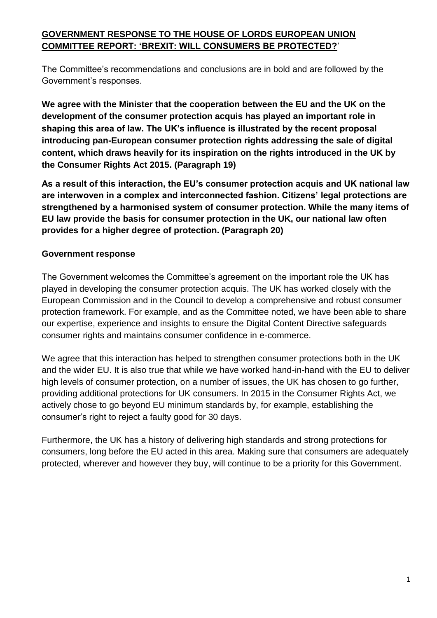# **GOVERNMENT RESPONSE TO THE HOUSE OF LORDS EUROPEAN UNION COMMITTEE REPORT: 'BREXIT: WILL CONSUMERS BE PROTECTED?**'

The Committee's recommendations and conclusions are in bold and are followed by the Government's responses.

**We agree with the Minister that the cooperation between the EU and the UK on the development of the consumer protection acquis has played an important role in shaping this area of law. The UK's influence is illustrated by the recent proposal introducing pan-European consumer protection rights addressing the sale of digital content, which draws heavily for its inspiration on the rights introduced in the UK by the Consumer Rights Act 2015. (Paragraph 19)**

**As a result of this interaction, the EU's consumer protection acquis and UK national law are interwoven in a complex and interconnected fashion. Citizens' legal protections are strengthened by a harmonised system of consumer protection. While the many items of EU law provide the basis for consumer protection in the UK, our national law often provides for a higher degree of protection. (Paragraph 20)**

# **Government response**

The Government welcomes the Committee's agreement on the important role the UK has played in developing the consumer protection acquis. The UK has worked closely with the European Commission and in the Council to develop a comprehensive and robust consumer protection framework. For example, and as the Committee noted, we have been able to share our expertise, experience and insights to ensure the Digital Content Directive safeguards consumer rights and maintains consumer confidence in e-commerce.

We agree that this interaction has helped to strengthen consumer protections both in the UK and the wider EU. It is also true that while we have worked hand-in-hand with the EU to deliver high levels of consumer protection, on a number of issues, the UK has chosen to go further, providing additional protections for UK consumers. In 2015 in the Consumer Rights Act, we actively chose to go beyond EU minimum standards by, for example, establishing the consumer's right to reject a faulty good for 30 days.

Furthermore, the UK has a history of delivering high standards and strong protections for consumers, long before the EU acted in this area. Making sure that consumers are adequately protected, wherever and however they buy, will continue to be a priority for this Government.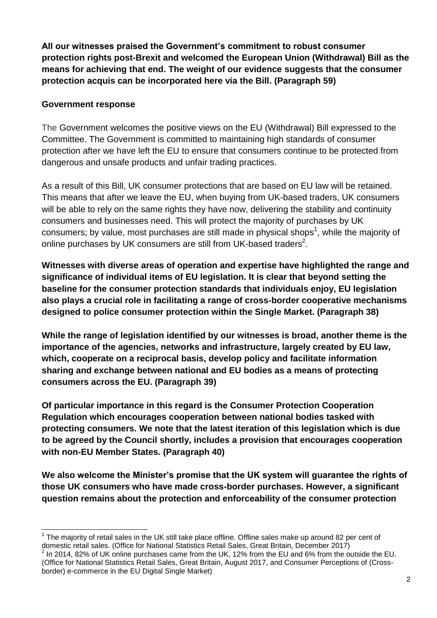**All our witnesses praised the Government's commitment to robust consumer protection rights post-Brexit and welcomed the European Union (Withdrawal) Bill as the means for achieving that end. The weight of our evidence suggests that the consumer protection acquis can be incorporated here via the Bill. (Paragraph 59)**

### **Government response**

The Government welcomes the positive views on the EU (Withdrawal) Bill expressed to the Committee. The Government is committed to maintaining high standards of consumer protection after we have left the EU to ensure that consumers continue to be protected from dangerous and unsafe products and unfair trading practices.

As a result of this Bill, UK consumer protections that are based on EU law will be retained. This means that after we leave the EU, when buying from UK-based traders, UK consumers will be able to rely on the same rights they have now, delivering the stability and continuity consumers and businesses need. This will protect the majority of purchases by UK consumers; by value, most purchases are still made in physical shops<sup>1</sup>, while the majority of online purchases by UK consumers are still from UK-based traders<sup>2</sup>.

**Witnesses with diverse areas of operation and expertise have highlighted the range and significance of individual items of EU legislation. It is clear that beyond setting the baseline for the consumer protection standards that individuals enjoy, EU legislation also plays a crucial role in facilitating a range of cross-border cooperative mechanisms designed to police consumer protection within the Single Market. (Paragraph 38)**

**While the range of legislation identified by our witnesses is broad, another theme is the importance of the agencies, networks and infrastructure, largely created by EU law, which, cooperate on a reciprocal basis, develop policy and facilitate information sharing and exchange between national and EU bodies as a means of protecting consumers across the EU. (Paragraph 39)**

**Of particular importance in this regard is the Consumer Protection Cooperation Regulation which encourages cooperation between national bodies tasked with protecting consumers. We note that the latest iteration of this legislation which is due to be agreed by the Council shortly, includes a provision that encourages cooperation with non-EU Member States. (Paragraph 40)**

**We also welcome the Minister's promise that the UK system will guarantee the rights of those UK consumers who have made cross-border purchases. However, a significant question remains about the protection and enforceability of the consumer protection** 

l  $1$  The majority of retail sales in the UK still take place offline. Offline sales make up around 82 per cent of domestic retail sales. (Office for National Statistics Retail Sales, Great Britain, December 2017)

 $^2$  In 2014, 82% of UK online purchases came from the UK, 12% from the EU and 6% from the outside the EU. (Office for National Statistics Retail Sales, Great Britain, August 2017, and Consumer Perceptions of (Crossborder) e-commerce in the EU Digital Single Market)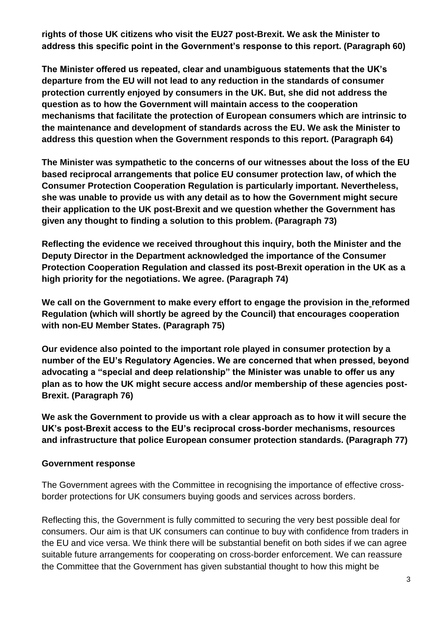**rights of those UK citizens who visit the EU27 post-Brexit. We ask the Minister to address this specific point in the Government's response to this report. (Paragraph 60)**

**The Minister offered us repeated, clear and unambiguous statements that the UK's departure from the EU will not lead to any reduction in the standards of consumer protection currently enjoyed by consumers in the UK. But, she did not address the question as to how the Government will maintain access to the cooperation mechanisms that facilitate the protection of European consumers which are intrinsic to the maintenance and development of standards across the EU. We ask the Minister to address this question when the Government responds to this report. (Paragraph 64)**

**The Minister was sympathetic to the concerns of our witnesses about the loss of the EU based reciprocal arrangements that police EU consumer protection law, of which the Consumer Protection Cooperation Regulation is particularly important. Nevertheless, she was unable to provide us with any detail as to how the Government might secure their application to the UK post-Brexit and we question whether the Government has given any thought to finding a solution to this problem. (Paragraph 73)**

**Reflecting the evidence we received throughout this inquiry, both the Minister and the Deputy Director in the Department acknowledged the importance of the Consumer Protection Cooperation Regulation and classed its post-Brexit operation in the UK as a high priority for the negotiations. We agree. (Paragraph 74)**

**We call on the Government to make every effort to engage the provision in the reformed Regulation (which will shortly be agreed by the Council) that encourages cooperation with non-EU Member States. (Paragraph 75)**

**Our evidence also pointed to the important role played in consumer protection by a number of the EU's Regulatory Agencies. We are concerned that when pressed, beyond advocating a "special and deep relationship" the Minister was unable to offer us any plan as to how the UK might secure access and/or membership of these agencies post-Brexit. (Paragraph 76)**

**We ask the Government to provide us with a clear approach as to how it will secure the UK's post-Brexit access to the EU's reciprocal cross-border mechanisms, resources and infrastructure that police European consumer protection standards. (Paragraph 77)**

### **Government response**

The Government agrees with the Committee in recognising the importance of effective crossborder protections for UK consumers buying goods and services across borders.

Reflecting this, the Government is fully committed to securing the very best possible deal for consumers. Our aim is that UK consumers can continue to buy with confidence from traders in the EU and vice versa. We think there will be substantial benefit on both sides if we can agree suitable future arrangements for cooperating on cross-border enforcement. We can reassure the Committee that the Government has given substantial thought to how this might be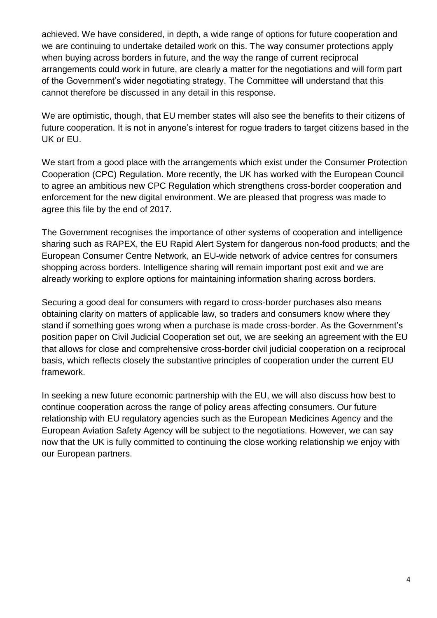achieved. We have considered, in depth, a wide range of options for future cooperation and we are continuing to undertake detailed work on this. The way consumer protections apply when buying across borders in future, and the way the range of current reciprocal arrangements could work in future, are clearly a matter for the negotiations and will form part of the Government's wider negotiating strategy. The Committee will understand that this cannot therefore be discussed in any detail in this response.

We are optimistic, though, that EU member states will also see the benefits to their citizens of future cooperation. It is not in anyone's interest for roque traders to target citizens based in the UK or EU.

We start from a good place with the arrangements which exist under the Consumer Protection Cooperation (CPC) Regulation. More recently, the UK has worked with the European Council to agree an ambitious new CPC Regulation which strengthens cross-border cooperation and enforcement for the new digital environment. We are pleased that progress was made to agree this file by the end of 2017.

The Government recognises the importance of other systems of cooperation and intelligence sharing such as RAPEX, the EU Rapid Alert System for dangerous non-food products; and the European Consumer Centre Network, an EU-wide network of advice centres for consumers shopping across borders. Intelligence sharing will remain important post exit and we are already working to explore options for maintaining information sharing across borders.

Securing a good deal for consumers with regard to cross-border purchases also means obtaining clarity on matters of applicable law, so traders and consumers know where they stand if something goes wrong when a purchase is made cross-border. As the Government's position paper on Civil Judicial Cooperation set out, we are seeking an agreement with the EU that allows for close and comprehensive cross-border civil judicial cooperation on a reciprocal basis, which reflects closely the substantive principles of cooperation under the current EU framework.

In seeking a new future economic partnership with the EU, we will also discuss how best to continue cooperation across the range of policy areas affecting consumers. Our future relationship with EU regulatory agencies such as the European Medicines Agency and the European Aviation Safety Agency will be subject to the negotiations. However, we can say now that the UK is fully committed to continuing the close working relationship we enjoy with our European partners.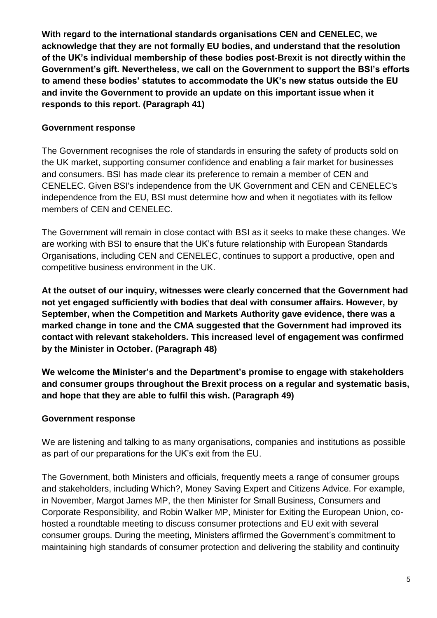**With regard to the international standards organisations CEN and CENELEC, we acknowledge that they are not formally EU bodies, and understand that the resolution of the UK's individual membership of these bodies post-Brexit is not directly within the Government's gift. Nevertheless, we call on the Government to support the BSI's efforts to amend these bodies' statutes to accommodate the UK's new status outside the EU and invite the Government to provide an update on this important issue when it responds to this report. (Paragraph 41)**

### **Government response**

The Government recognises the role of standards in ensuring the safety of products sold on the UK market, supporting consumer confidence and enabling a fair market for businesses and consumers. BSI has made clear its preference to remain a member of CEN and CENELEC. Given BSI's independence from the UK Government and CEN and CENELEC's independence from the EU, BSI must determine how and when it negotiates with its fellow members of CEN and CENELEC.

The Government will remain in close contact with BSI as it seeks to make these changes. We are working with BSI to ensure that the UK's future relationship with European Standards Organisations, including CEN and CENELEC, continues to support a productive, open and competitive business environment in the UK.

**At the outset of our inquiry, witnesses were clearly concerned that the Government had not yet engaged sufficiently with bodies that deal with consumer affairs. However, by September, when the Competition and Markets Authority gave evidence, there was a marked change in tone and the CMA suggested that the Government had improved its contact with relevant stakeholders. This increased level of engagement was confirmed by the Minister in October. (Paragraph 48)**

**We welcome the Minister's and the Department's promise to engage with stakeholders and consumer groups throughout the Brexit process on a regular and systematic basis, and hope that they are able to fulfil this wish. (Paragraph 49)**

# **Government response**

We are listening and talking to as many organisations, companies and institutions as possible as part of our preparations for the UK's exit from the EU.

The Government, both Ministers and officials, frequently meets a range of consumer groups and stakeholders, including Which?, Money Saving Expert and Citizens Advice. For example, in November, Margot James MP, the then Minister for Small Business, Consumers and Corporate Responsibility, and Robin Walker MP, Minister for Exiting the European Union, cohosted a roundtable meeting to discuss consumer protections and EU exit with several consumer groups. During the meeting, Ministers affirmed the Government's commitment to maintaining high standards of consumer protection and delivering the stability and continuity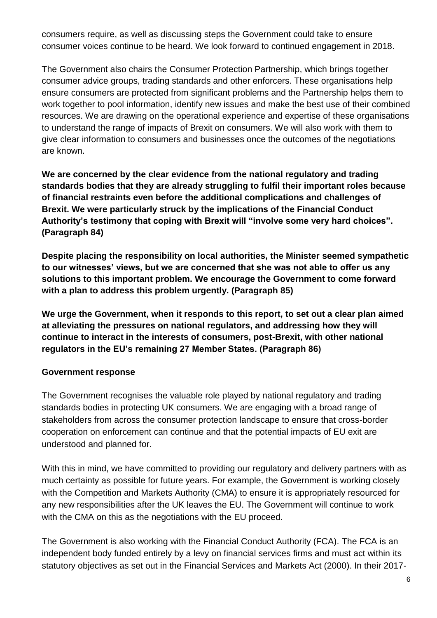consumers require, as well as discussing steps the Government could take to ensure consumer voices continue to be heard. We look forward to continued engagement in 2018.

The Government also chairs the Consumer Protection Partnership, which brings together consumer advice groups, trading standards and other enforcers. These organisations help ensure consumers are protected from significant problems and the Partnership helps them to work together to pool information, identify new issues and make the best use of their combined resources. We are drawing on the operational experience and expertise of these organisations to understand the range of impacts of Brexit on consumers. We will also work with them to give clear information to consumers and businesses once the outcomes of the negotiations are known.

**We are concerned by the clear evidence from the national regulatory and trading standards bodies that they are already struggling to fulfil their important roles because of financial restraints even before the additional complications and challenges of Brexit. We were particularly struck by the implications of the Financial Conduct Authority's testimony that coping with Brexit will "involve some very hard choices". (Paragraph 84)**

**Despite placing the responsibility on local authorities, the Minister seemed sympathetic to our witnesses' views, but we are concerned that she was not able to offer us any solutions to this important problem. We encourage the Government to come forward with a plan to address this problem urgently. (Paragraph 85)**

**We urge the Government, when it responds to this report, to set out a clear plan aimed at alleviating the pressures on national regulators, and addressing how they will continue to interact in the interests of consumers, post-Brexit, with other national regulators in the EU's remaining 27 Member States. (Paragraph 86)**

### **Government response**

The Government recognises the valuable role played by national regulatory and trading standards bodies in protecting UK consumers. We are engaging with a broad range of stakeholders from across the consumer protection landscape to ensure that cross-border cooperation on enforcement can continue and that the potential impacts of EU exit are understood and planned for.

With this in mind, we have committed to providing our regulatory and delivery partners with as much certainty as possible for future years. For example, the Government is working closely with the Competition and Markets Authority (CMA) to ensure it is appropriately resourced for any new responsibilities after the UK leaves the EU. The Government will continue to work with the CMA on this as the negotiations with the EU proceed.

The Government is also working with the Financial Conduct Authority (FCA). The FCA is an independent body funded entirely by a levy on financial services firms and must act within its statutory objectives as set out in the Financial Services and Markets Act (2000). In their 2017